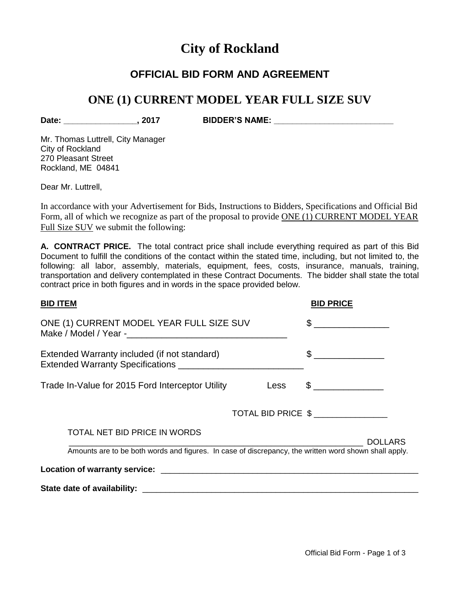# **City of Rockland**

### **OFFICIAL BID FORM AND AGREEMENT**

## **ONE (1) CURRENT MODEL YEAR FULL SIZE SUV**

**Date: \_\_\_\_\_\_\_\_\_\_\_\_\_\_\_\_, 2017 BIDDER'S NAME: \_\_\_\_\_\_\_\_\_\_\_\_\_\_\_\_\_\_\_\_\_\_\_\_\_\_**

Mr. Thomas Luttrell, City Manager City of Rockland 270 Pleasant Street Rockland, ME 04841

Dear Mr. Luttrell.

In accordance with your Advertisement for Bids, Instructions to Bidders, Specifications and Official Bid Form, all of which we recognize as part of the proposal to provide ONE (1) CURRENT MODEL YEAR Full Size SUV we submit the following:

**A. CONTRACT PRICE.** The total contract price shall include everything required as part of this Bid Document to fulfill the conditions of the contact within the stated time, including, but not limited to, the following: all labor, assembly, materials, equipment, fees, costs, insurance, manuals, training, transportation and delivery contemplated in these Contract Documents. The bidder shall state the total contract price in both figures and in words in the space provided below.

| <b>BID ITEM</b>                                                                                                         | <b>BID PRICE</b>     |  |
|-------------------------------------------------------------------------------------------------------------------------|----------------------|--|
| ONE (1) CURRENT MODEL YEAR FULL SIZE SUV                                                                                | $\frac{1}{\sqrt{2}}$ |  |
| Extended Warranty included (if not standard)                                                                            | $\frac{1}{2}$        |  |
| Trade In-Value for 2015 Ford Interceptor Utility<br>Less                                                                | $\frac{1}{2}$        |  |
|                                                                                                                         | TOTAL BID PRICE \$   |  |
| TOTAL NET BID PRICE IN WORDS                                                                                            |                      |  |
| <b>DOLLARS</b><br>Amounts are to be both words and figures. In case of discrepancy, the written word shown shall apply. |                      |  |
|                                                                                                                         |                      |  |
|                                                                                                                         |                      |  |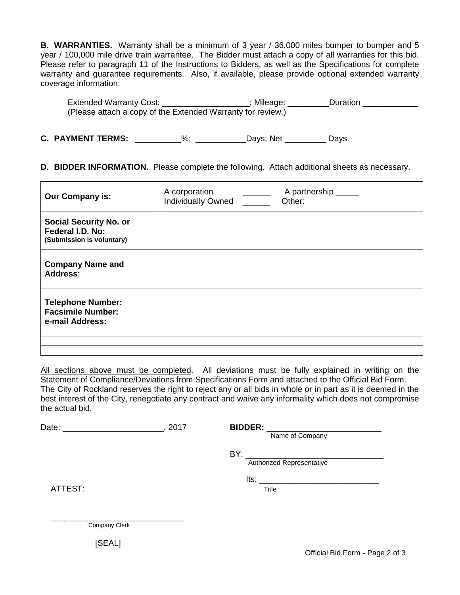**B. WARRANTIES.** Warranty shall be a minimum of 3 year / 36,000 miles bumper to bumper and 5 year / 100,000 mile drive train warrantee. The Bidder must attach a copy of all warranties for this bid. Please refer to paragraph 11 of the Instructions to Bidders, as well as the Specifications for complete warranty and guarantee requirements. Also, if available, please provide optional extended warranty coverage information:

| Extended Warranty Cost:                                     | Mileage: | Duration |
|-------------------------------------------------------------|----------|----------|
| (Please attach a copy of the Extended Warranty for review.) |          |          |

**C. PAYMENT TERMS:** \_\_\_\_\_\_\_\_\_\_%; \_\_\_\_\_\_\_\_\_\_\_Days; Net \_\_\_\_\_\_\_\_\_ Days.

#### **D. BIDDER INFORMATION.** Please complete the following. Attach additional sheets as necessary.

| <b>Our Company is:</b>                                                         | A corporation<br><b>Individually Owned</b> | A partnership _____<br>Other: |
|--------------------------------------------------------------------------------|--------------------------------------------|-------------------------------|
| <b>Social Security No. or</b><br>Federal I.D. No:<br>(Submission is voluntary) |                                            |                               |
| <b>Company Name and</b><br>Address:                                            |                                            |                               |
| <b>Telephone Number:</b><br><b>Facsimile Number:</b><br>e-mail Address:        |                                            |                               |
|                                                                                |                                            |                               |

All sections above must be completed. All deviations must be fully explained in writing on the Statement of Compliance/Deviations from Specifications Form and attached to the Official Bid Form. The City of Rockland reserves the right to reject any or all bids in whole or in part as it is deemed in the best interest of the City, renegotiate any contract and waive any informality which does not compromise the actual bid.

Date: \_\_\_\_\_\_\_\_\_\_\_\_\_\_\_\_\_\_\_\_\_\_\_\_\_, 2017 **BIDDER:** 

Name of Company

 $BY:$ 

Authorized Representative

ATTEST: Title

Its: \_\_\_\_\_\_\_\_\_\_\_\_\_\_\_\_\_\_\_\_\_\_\_\_\_\_

\_\_\_\_\_\_\_\_\_\_\_\_\_\_\_\_\_\_\_\_\_\_\_\_\_\_\_\_\_ Company Clerk

[SEAL]